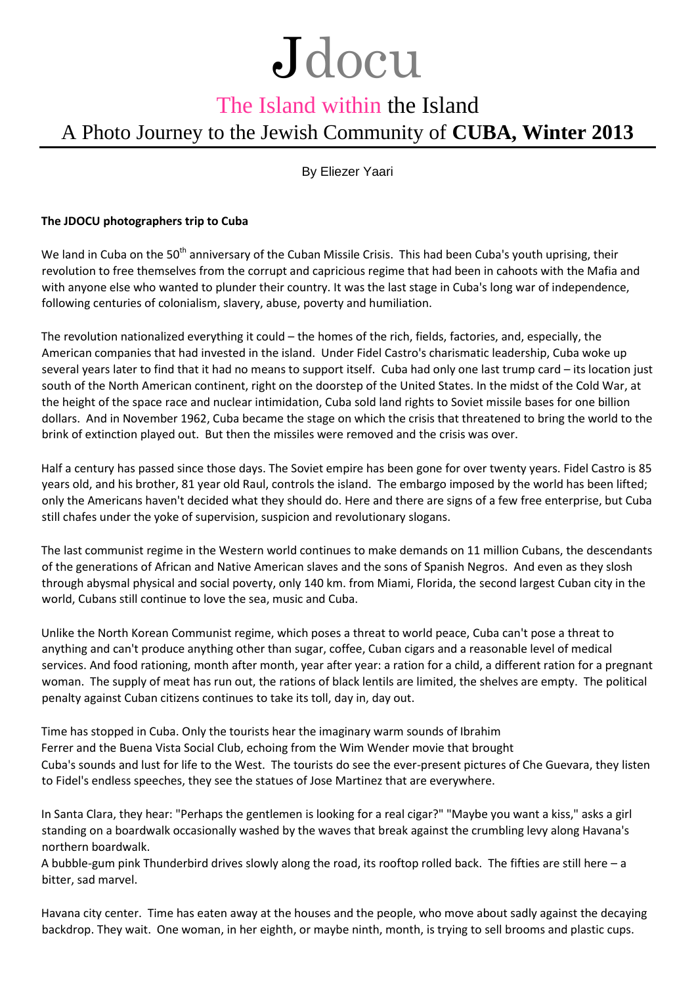# Jdocu

# The Island within the Island A Photo Journey to the Jewish Community of **CUBA, Winter 2013**

By Eliezer Yaari

## **The JDOCU photographers trip to Cuba**

We land in Cuba on the 50<sup>th</sup> anniversary of the Cuban Missile Crisis. This had been Cuba's youth uprising, their revolution to free themselves from the corrupt and capricious regime that had been in cahoots with the Mafia and with anyone else who wanted to plunder their country. It was the last stage in Cuba's long war of independence, following centuries of colonialism, slavery, abuse, poverty and humiliation.

The revolution nationalized everything it could – the homes of the rich, fields, factories, and, especially, the American companies that had invested in the island. Under Fidel Castro's charismatic leadership, Cuba woke up several years later to find that it had no means to support itself. Cuba had only one last trump card – its location just south of the North American continent, right on the doorstep of the United States. In the midst of the Cold War, at the height of the space race and nuclear intimidation, Cuba sold land rights to Soviet missile bases for one billion dollars. And in November 1962, Cuba became the stage on which the crisis that threatened to bring the world to the brink of extinction played out. But then the missiles were removed and the crisis was over.

Half a century has passed since those days. The Soviet empire has been gone for over twenty years. Fidel Castro is 85 years old, and his brother, 81 year old Raul, controls the island. The embargo imposed by the world has been lifted; only the Americans haven't decided what they should do. Here and there are signs of a few free enterprise, but Cuba still chafes under the yoke of supervision, suspicion and revolutionary slogans.

The last communist regime in the Western world continues to make demands on 11 million Cubans, the descendants of the generations of African and Native American slaves and the sons of Spanish Negros. And even as they slosh through abysmal physical and social poverty, only 140 km. from Miami, Florida, the second largest Cuban city in the world, Cubans still continue to love the sea, music and Cuba.

Unlike the North Korean Communist regime, which poses a threat to world peace, Cuba can't pose a threat to anything and can't produce anything other than sugar, coffee, Cuban cigars and a reasonable level of medical services. And food rationing, month after month, year after year: a ration for a child, a different ration for a pregnant woman. The supply of meat has run out, the rations of black lentils are limited, the shelves are empty. The political penalty against Cuban citizens continues to take its toll, day in, day out.

Time has stopped in Cuba. Only the tourists hear the imaginary warm sounds of Ibrahim Ferrer and the Buena Vista Social Club, echoing from the Wim Wender movie that brought Cuba's sounds and lust for life to the West. The tourists do see the ever-present pictures of Che Guevara, they listen to Fidel's endless speeches, they see the statues of Jose Martinez that are everywhere.

In Santa Clara, they hear: "Perhaps the gentlemen is looking for a real cigar?" "Maybe you want a kiss," asks a girl standing on a boardwalk occasionally washed by the waves that break against the crumbling levy along Havana's northern boardwalk.

A bubble-gum pink Thunderbird drives slowly along the road, its rooftop rolled back. The fifties are still here – a bitter, sad marvel.

Havana city center. Time has eaten away at the houses and the people, who move about sadly against the decaying backdrop. They wait. One woman, in her eighth, or maybe ninth, month, is trying to sell brooms and plastic cups.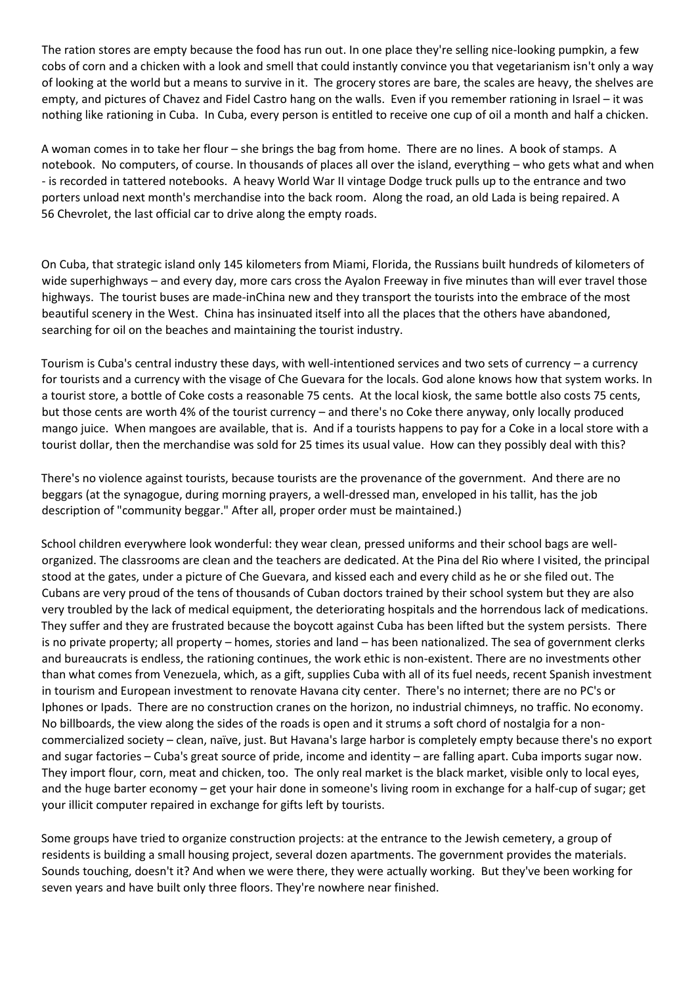The ration stores are empty because the food has run out. In one place they're selling nice-looking pumpkin, a few cobs of corn and a chicken with a look and smell that could instantly convince you that vegetarianism isn't only a way of looking at the world but a means to survive in it. The grocery stores are bare, the scales are heavy, the shelves are empty, and pictures of Chavez and Fidel Castro hang on the walls. Even if you remember rationing in Israel – it was nothing like rationing in Cuba. In Cuba, every person is entitled to receive one cup of oil a month and half a chicken.

A woman comes in to take her flour – she brings the bag from home. There are no lines. A book of stamps. A notebook. No computers, of course. In thousands of places all over the island, everything – who gets what and when - is recorded in tattered notebooks. A heavy World War II vintage Dodge truck pulls up to the entrance and two porters unload next month's merchandise into the back room. Along the road, an old Lada is being repaired. A 56 Chevrolet, the last official car to drive along the empty roads.

On Cuba, that strategic island only 145 kilometers from Miami, Florida, the Russians built hundreds of kilometers of wide superhighways – and every day, more cars cross the Ayalon Freeway in five minutes than will ever travel those highways. The tourist buses are made-inChina new and they transport the tourists into the embrace of the most beautiful scenery in the West. China has insinuated itself into all the places that the others have abandoned, searching for oil on the beaches and maintaining the tourist industry.

Tourism is Cuba's central industry these days, with well-intentioned services and two sets of currency – a currency for tourists and a currency with the visage of Che Guevara for the locals. God alone knows how that system works. In a tourist store, a bottle of Coke costs a reasonable 75 cents. At the local kiosk, the same bottle also costs 75 cents, but those cents are worth 4% of the tourist currency – and there's no Coke there anyway, only locally produced mango juice. When mangoes are available, that is. And if a tourists happens to pay for a Coke in a local store with a tourist dollar, then the merchandise was sold for 25 times its usual value. How can they possibly deal with this?

There's no violence against tourists, because tourists are the provenance of the government. And there are no beggars (at the synagogue, during morning prayers, a well-dressed man, enveloped in his tallit, has the job description of "community beggar." After all, proper order must be maintained.)

School children everywhere look wonderful: they wear clean, pressed uniforms and their school bags are wellorganized. The classrooms are clean and the teachers are dedicated. At the Pina del Rio where I visited, the principal stood at the gates, under a picture of Che Guevara, and kissed each and every child as he or she filed out. The Cubans are very proud of the tens of thousands of Cuban doctors trained by their school system but they are also very troubled by the lack of medical equipment, the deteriorating hospitals and the horrendous lack of medications. They suffer and they are frustrated because the boycott against Cuba has been lifted but the system persists. There is no private property; all property – homes, stories and land – has been nationalized. The sea of government clerks and bureaucrats is endless, the rationing continues, the work ethic is non-existent. There are no investments other than what comes from Venezuela, which, as a gift, supplies Cuba with all of its fuel needs, recent Spanish investment in tourism and European investment to renovate Havana city center. There's no internet; there are no PC's or Iphones or Ipads. There are no construction cranes on the horizon, no industrial chimneys, no traffic. No economy. No billboards, the view along the sides of the roads is open and it strums a soft chord of nostalgia for a noncommercialized society – clean, naïve, just. But Havana's large harbor is completely empty because there's no export and sugar factories – Cuba's great source of pride, income and identity – are falling apart. Cuba imports sugar now. They import flour, corn, meat and chicken, too. The only real market is the black market, visible only to local eyes, and the huge barter economy – get your hair done in someone's living room in exchange for a half-cup of sugar; get your illicit computer repaired in exchange for gifts left by tourists.

Some groups have tried to organize construction projects: at the entrance to the Jewish cemetery, a group of residents is building a small housing project, several dozen apartments. The government provides the materials. Sounds touching, doesn't it? And when we were there, they were actually working. But they've been working for seven years and have built only three floors. They're nowhere near finished.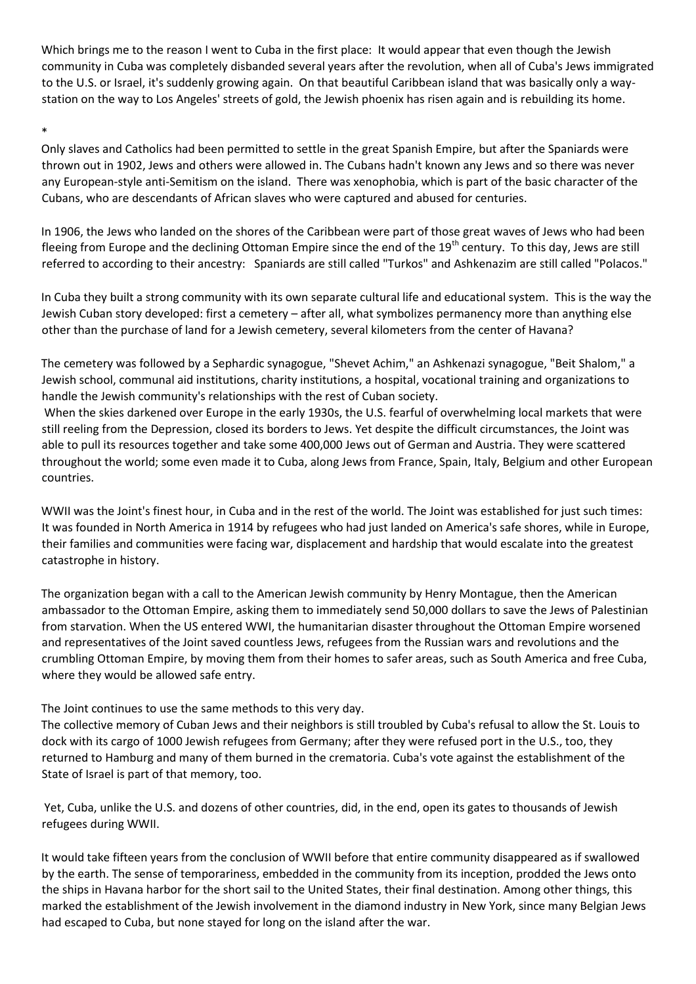Which brings me to the reason I went to Cuba in the first place: It would appear that even though the Jewish community in Cuba was completely disbanded several years after the revolution, when all of Cuba's Jews immigrated to the U.S. or Israel, it's suddenly growing again. On that beautiful Caribbean island that was basically only a waystation on the way to Los Angeles' streets of gold, the Jewish phoenix has risen again and is rebuilding its home.

\*

Only slaves and Catholics had been permitted to settle in the great Spanish Empire, but after the Spaniards were thrown out in 1902, Jews and others were allowed in. The Cubans hadn't known any Jews and so there was never any European-style anti-Semitism on the island. There was xenophobia, which is part of the basic character of the Cubans, who are descendants of African slaves who were captured and abused for centuries.

In 1906, the Jews who landed on the shores of the Caribbean were part of those great waves of Jews who had been fleeing from Europe and the declining Ottoman Empire since the end of the  $19<sup>th</sup>$  century. To this day, Jews are still referred to according to their ancestry: Spaniards are still called "Turkos" and Ashkenazim are still called "Polacos."

In Cuba they built a strong community with its own separate cultural life and educational system. This is the way the Jewish Cuban story developed: first a cemetery – after all, what symbolizes permanency more than anything else other than the purchase of land for a Jewish cemetery, several kilometers from the center of Havana?

The cemetery was followed by a Sephardic synagogue, "Shevet Achim," an Ashkenazi synagogue, "Beit Shalom," a Jewish school, communal aid institutions, charity institutions, a hospital, vocational training and organizations to handle the Jewish community's relationships with the rest of Cuban society.

When the skies darkened over Europe in the early 1930s, the U.S. fearful of overwhelming local markets that were still reeling from the Depression, closed its borders to Jews. Yet despite the difficult circumstances, the Joint was able to pull its resources together and take some 400,000 Jews out of German and Austria. They were scattered throughout the world; some even made it to Cuba, along Jews from France, Spain, Italy, Belgium and other European countries.

WWII was the Joint's finest hour, in Cuba and in the rest of the world. The Joint was established for just such times: It was founded in North America in 1914 by refugees who had just landed on America's safe shores, while in Europe, their families and communities were facing war, displacement and hardship that would escalate into the greatest catastrophe in history.

The organization began with a call to the American Jewish community by Henry Montague, then the American ambassador to the Ottoman Empire, asking them to immediately send 50,000 dollars to save the Jews of Palestinian from starvation. When the US entered WWI, the humanitarian disaster throughout the Ottoman Empire worsened and representatives of the Joint saved countless Jews, refugees from the Russian wars and revolutions and the crumbling Ottoman Empire, by moving them from their homes to safer areas, such as South America and free Cuba, where they would be allowed safe entry.

The Joint continues to use the same methods to this very day.

The collective memory of Cuban Jews and their neighbors is still troubled by Cuba's refusal to allow the St. Louis to dock with its cargo of 1000 Jewish refugees from Germany; after they were refused port in the U.S., too, they returned to Hamburg and many of them burned in the crematoria. Cuba's vote against the establishment of the State of Israel is part of that memory, too.

Yet, Cuba, unlike the U.S. and dozens of other countries, did, in the end, open its gates to thousands of Jewish refugees during WWII.

It would take fifteen years from the conclusion of WWII before that entire community disappeared as if swallowed by the earth. The sense of temporariness, embedded in the community from its inception, prodded the Jews onto the ships in Havana harbor for the short sail to the United States, their final destination. Among other things, this marked the establishment of the Jewish involvement in the diamond industry in New York, since many Belgian Jews had escaped to Cuba, but none stayed for long on the island after the war.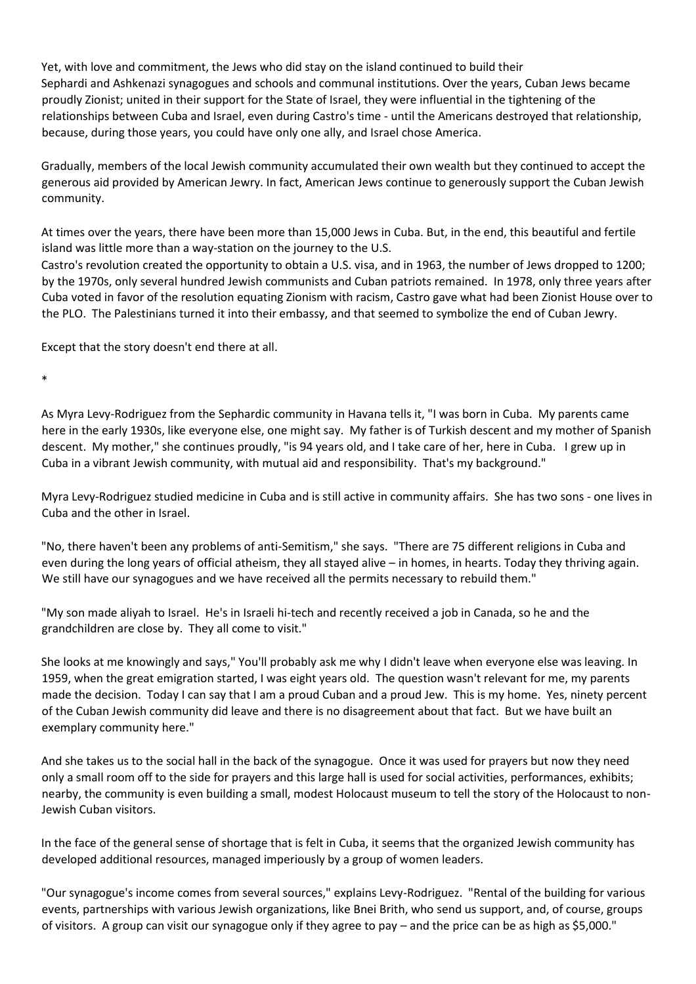Yet, with love and commitment, the Jews who did stay on the island continued to build their Sephardi and Ashkenazi synagogues and schools and communal institutions. Over the years, Cuban Jews became proudly Zionist; united in their support for the State of Israel, they were influential in the tightening of the relationships between Cuba and Israel, even during Castro's time - until the Americans destroyed that relationship, because, during those years, you could have only one ally, and Israel chose America.

Gradually, members of the local Jewish community accumulated their own wealth but they continued to accept the generous aid provided by American Jewry. In fact, American Jews continue to generously support the Cuban Jewish community.

At times over the years, there have been more than 15,000 Jews in Cuba. But, in the end, this beautiful and fertile island was little more than a way-station on the journey to the U.S.

Castro's revolution created the opportunity to obtain a U.S. visa, and in 1963, the number of Jews dropped to 1200; by the 1970s, only several hundred Jewish communists and Cuban patriots remained. In 1978, only three years after Cuba voted in favor of the resolution equating Zionism with racism, Castro gave what had been Zionist House over to the PLO. The Palestinians turned it into their embassy, and that seemed to symbolize the end of Cuban Jewry.

Except that the story doesn't end there at all.

\*

As Myra Levy-Rodriguez from the Sephardic community in Havana tells it, "I was born in Cuba. My parents came here in the early 1930s, like everyone else, one might say. My father is of Turkish descent and my mother of Spanish descent. My mother," she continues proudly, "is 94 years old, and I take care of her, here in Cuba. I grew up in Cuba in a vibrant Jewish community, with mutual aid and responsibility. That's my background."

Myra Levy-Rodriguez studied medicine in Cuba and is still active in community affairs. She has two sons - one lives in Cuba and the other in Israel.

"No, there haven't been any problems of anti-Semitism," she says. "There are 75 different religions in Cuba and even during the long years of official atheism, they all stayed alive – in homes, in hearts. Today they thriving again. We still have our synagogues and we have received all the permits necessary to rebuild them."

"My son made aliyah to Israel. He's in Israeli hi-tech and recently received a job in Canada, so he and the grandchildren are close by. They all come to visit."

She looks at me knowingly and says," You'll probably ask me why I didn't leave when everyone else was leaving. In 1959, when the great emigration started, I was eight years old. The question wasn't relevant for me, my parents made the decision. Today I can say that I am a proud Cuban and a proud Jew. This is my home. Yes, ninety percent of the Cuban Jewish community did leave and there is no disagreement about that fact. But we have built an exemplary community here."

And she takes us to the social hall in the back of the synagogue. Once it was used for prayers but now they need only a small room off to the side for prayers and this large hall is used for social activities, performances, exhibits; nearby, the community is even building a small, modest Holocaust museum to tell the story of the Holocaust to non-Jewish Cuban visitors.

In the face of the general sense of shortage that is felt in Cuba, it seems that the organized Jewish community has developed additional resources, managed imperiously by a group of women leaders.

"Our synagogue's income comes from several sources," explains Levy-Rodriguez. "Rental of the building for various events, partnerships with various Jewish organizations, like Bnei Brith, who send us support, and, of course, groups of visitors. A group can visit our synagogue only if they agree to pay – and the price can be as high as \$5,000."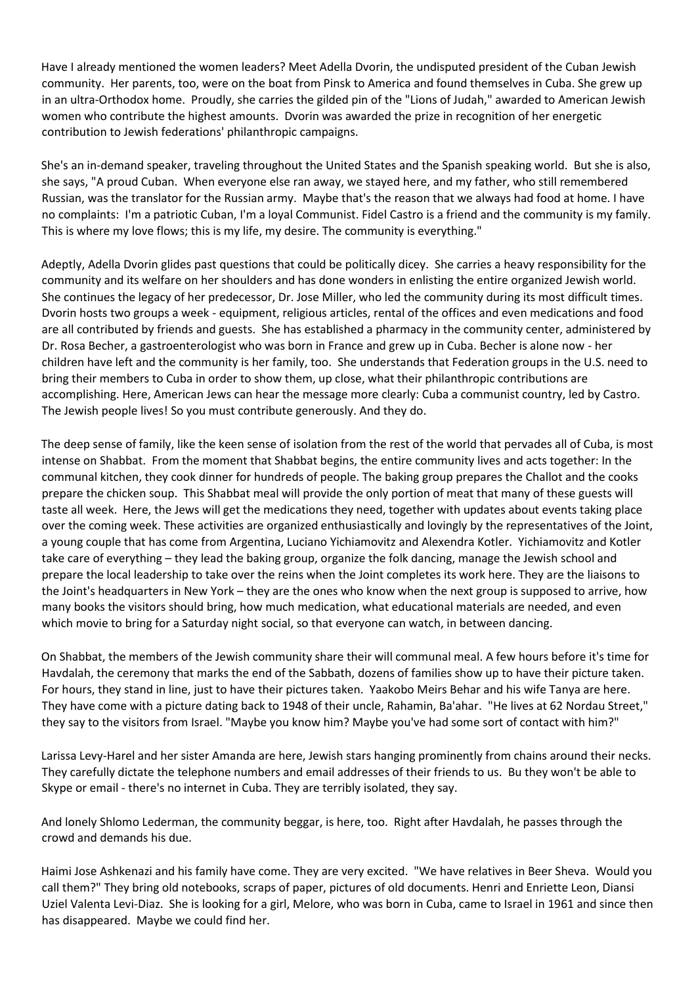Have I already mentioned the women leaders? Meet Adella Dvorin, the undisputed president of the Cuban Jewish community. Her parents, too, were on the boat from Pinsk to America and found themselves in Cuba. She grew up in an ultra-Orthodox home. Proudly, she carries the gilded pin of the "Lions of Judah," awarded to American Jewish women who contribute the highest amounts. Dvorin was awarded the prize in recognition of her energetic contribution to Jewish federations' philanthropic campaigns.

She's an in-demand speaker, traveling throughout the United States and the Spanish speaking world. But she is also, she says, "A proud Cuban. When everyone else ran away, we stayed here, and my father, who still remembered Russian, was the translator for the Russian army. Maybe that's the reason that we always had food at home. I have no complaints: I'm a patriotic Cuban, I'm a loyal Communist. Fidel Castro is a friend and the community is my family. This is where my love flows; this is my life, my desire. The community is everything."

Adeptly, Adella Dvorin glides past questions that could be politically dicey. She carries a heavy responsibility for the community and its welfare on her shoulders and has done wonders in enlisting the entire organized Jewish world. She continues the legacy of her predecessor, Dr. Jose Miller, who led the community during its most difficult times. Dvorin hosts two groups a week - equipment, religious articles, rental of the offices and even medications and food are all contributed by friends and guests. She has established a pharmacy in the community center, administered by Dr. Rosa Becher, a gastroenterologist who was born in France and grew up in Cuba. Becher is alone now - her children have left and the community is her family, too. She understands that Federation groups in the U.S. need to bring their members to Cuba in order to show them, up close, what their philanthropic contributions are accomplishing. Here, American Jews can hear the message more clearly: Cuba a communist country, led by Castro. The Jewish people lives! So you must contribute generously. And they do.

The deep sense of family, like the keen sense of isolation from the rest of the world that pervades all of Cuba, is most intense on Shabbat. From the moment that Shabbat begins, the entire community lives and acts together: In the communal kitchen, they cook dinner for hundreds of people. The baking group prepares the Challot and the cooks prepare the chicken soup. This Shabbat meal will provide the only portion of meat that many of these guests will taste all week. Here, the Jews will get the medications they need, together with updates about events taking place over the coming week. These activities are organized enthusiastically and lovingly by the representatives of the Joint, a young couple that has come from Argentina, Luciano Yichiamovitz and Alexendra Kotler. Yichiamovitz and Kotler take care of everything – they lead the baking group, organize the folk dancing, manage the Jewish school and prepare the local leadership to take over the reins when the Joint completes its work here. They are the liaisons to the Joint's headquarters in New York – they are the ones who know when the next group is supposed to arrive, how many books the visitors should bring, how much medication, what educational materials are needed, and even which movie to bring for a Saturday night social, so that everyone can watch, in between dancing.

On Shabbat, the members of the Jewish community share their will communal meal. A few hours before it's time for Havdalah, the ceremony that marks the end of the Sabbath, dozens of families show up to have their picture taken. For hours, they stand in line, just to have their pictures taken. Yaakobo Meirs Behar and his wife Tanya are here. They have come with a picture dating back to 1948 of their uncle, Rahamin, Ba'ahar. "He lives at 62 Nordau Street," they say to the visitors from Israel. "Maybe you know him? Maybe you've had some sort of contact with him?"

Larissa Levy-Harel and her sister Amanda are here, Jewish stars hanging prominently from chains around their necks. They carefully dictate the telephone numbers and email addresses of their friends to us. Bu they won't be able to Skype or email - there's no internet in Cuba. They are terribly isolated, they say.

And lonely Shlomo Lederman, the community beggar, is here, too. Right after Havdalah, he passes through the crowd and demands his due.

Haimi Jose Ashkenazi and his family have come. They are very excited. "We have relatives in Beer Sheva. Would you call them?" They bring old notebooks, scraps of paper, pictures of old documents. Henri and Enriette Leon, Diansi Uziel Valenta Levi-Diaz. She is looking for a girl, Melore, who was born in Cuba, came to Israel in 1961 and since then has disappeared. Maybe we could find her.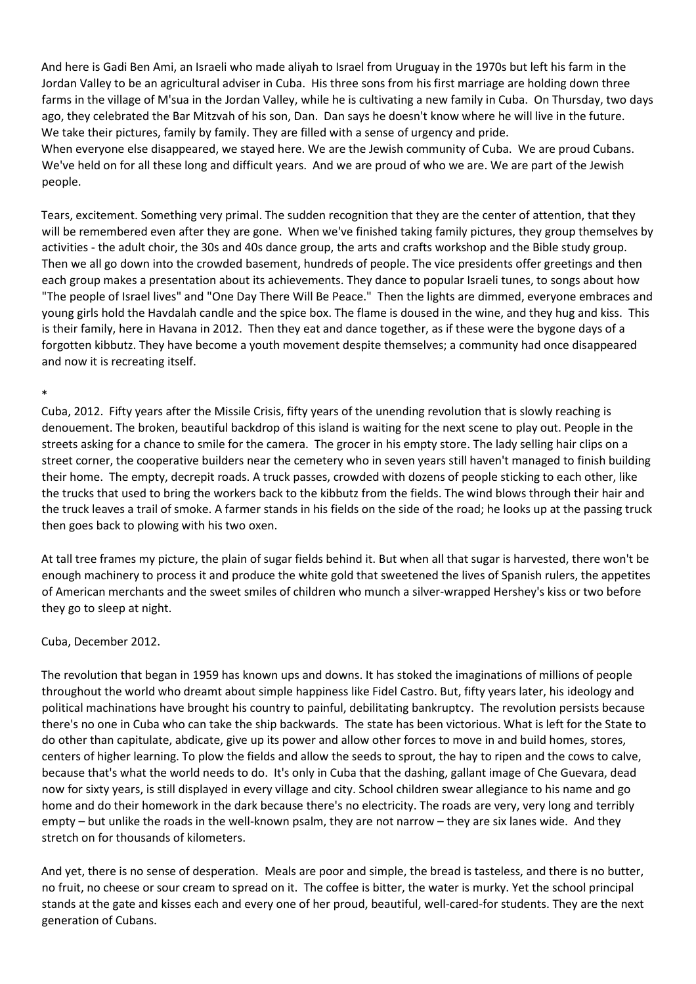And here is Gadi Ben Ami, an Israeli who made aliyah to Israel from Uruguay in the 1970s but left his farm in the Jordan Valley to be an agricultural adviser in Cuba. His three sons from his first marriage are holding down three farms in the village of M'sua in the Jordan Valley, while he is cultivating a new family in Cuba. On Thursday, two days ago, they celebrated the Bar Mitzvah of his son, Dan. Dan says he doesn't know where he will live in the future. We take their pictures, family by family. They are filled with a sense of urgency and pride.

When everyone else disappeared, we stayed here. We are the Jewish community of Cuba. We are proud Cubans. We've held on for all these long and difficult years. And we are proud of who we are. We are part of the Jewish people.

Tears, excitement. Something very primal. The sudden recognition that they are the center of attention, that they will be remembered even after they are gone. When we've finished taking family pictures, they group themselves by activities - the adult choir, the 30s and 40s dance group, the arts and crafts workshop and the Bible study group. Then we all go down into the crowded basement, hundreds of people. The vice presidents offer greetings and then each group makes a presentation about its achievements. They dance to popular Israeli tunes, to songs about how "The people of Israel lives" and "One Day There Will Be Peace." Then the lights are dimmed, everyone embraces and young girls hold the Havdalah candle and the spice box. The flame is doused in the wine, and they hug and kiss. This is their family, here in Havana in 2012. Then they eat and dance together, as if these were the bygone days of a forgotten kibbutz. They have become a youth movement despite themselves; a community had once disappeared and now it is recreating itself.

# \*

Cuba, 2012. Fifty years after the Missile Crisis, fifty years of the unending revolution that is slowly reaching is denouement. The broken, beautiful backdrop of this island is waiting for the next scene to play out. People in the streets asking for a chance to smile for the camera. The grocer in his empty store. The lady selling hair clips on a street corner, the cooperative builders near the cemetery who in seven years still haven't managed to finish building their home. The empty, decrepit roads. A truck passes, crowded with dozens of people sticking to each other, like the trucks that used to bring the workers back to the kibbutz from the fields. The wind blows through their hair and the truck leaves a trail of smoke. A farmer stands in his fields on the side of the road; he looks up at the passing truck then goes back to plowing with his two oxen.

At tall tree frames my picture, the plain of sugar fields behind it. But when all that sugar is harvested, there won't be enough machinery to process it and produce the white gold that sweetened the lives of Spanish rulers, the appetites of American merchants and the sweet smiles of children who munch a silver-wrapped Hershey's kiss or two before they go to sleep at night.

#### Cuba, December 2012.

The revolution that began in 1959 has known ups and downs. It has stoked the imaginations of millions of people throughout the world who dreamt about simple happiness like Fidel Castro. But, fifty years later, his ideology and political machinations have brought his country to painful, debilitating bankruptcy. The revolution persists because there's no one in Cuba who can take the ship backwards. The state has been victorious. What is left for the State to do other than capitulate, abdicate, give up its power and allow other forces to move in and build homes, stores, centers of higher learning. To plow the fields and allow the seeds to sprout, the hay to ripen and the cows to calve, because that's what the world needs to do. It's only in Cuba that the dashing, gallant image of Che Guevara, dead now for sixty years, is still displayed in every village and city. School children swear allegiance to his name and go home and do their homework in the dark because there's no electricity. The roads are very, very long and terribly empty – but unlike the roads in the well-known psalm, they are not narrow – they are six lanes wide. And they stretch on for thousands of kilometers.

And yet, there is no sense of desperation. Meals are poor and simple, the bread is tasteless, and there is no butter, no fruit, no cheese or sour cream to spread on it. The coffee is bitter, the water is murky. Yet the school principal stands at the gate and kisses each and every one of her proud, beautiful, well-cared-for students. They are the next generation of Cubans.